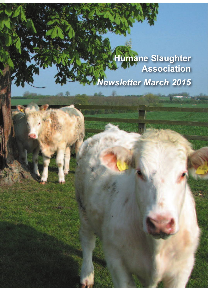# **Humane Slaughter Association** *Newsletter March 2015*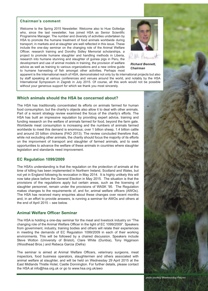#### **Chairman's comment**

Welcome to the Spring 2015 Newsletter. Welcome also to Huw Golledge who, since the last newsletter, has joined HSA as Senior Scientific Programme Manager. The number and diversity of activities undertaken by HSA to promote the humane treatment of food animals worldwide during transport, in markets and at slaughter are well reflected in this issue. These include the one-day seminar on the changing role of the Animal Welfare Officer, research training and Dorothy Sidley Memorial scholarships, a project to promote humane slaughter and handling methods in Liberia, research into humane stunning and slaughter of guinea pigs in Peru, the development and use of animal models in training, the provision of welfare advice as well as training to various organizations and a new online guide to humane harvesting of fish amongst other activities. Perhaps most



*Richard Bennett, Chairman*

apparent is the international reach of HSA, demonstrated not only by its international projects but also by staff speaking at various conferences and venues around the world, and notably by the HSA International Symposium in Zagreb in July 2015. Of course, all this work would not be possible without your generous support for which we thank you most sincerely.

#### **Which animals should the HSA be concerned about?**

The HSA has traditionally concentrated its efforts on animals farmed for human food consumption, but the charity's objects also allow it to deal with other animals. Part of a recent strategy review examined the focus of the charity's efforts. The HSA has built an impressive reputation by providing expert advice, training and funding research on the welfare of animals farmed for food, beyond the farm gate. Worldwide meat consumption is increasing and the numbers of animals farmed worldwide to meet this demand is enormous; over 1 billion sheep, 1.4 billion cattle and around 20 billion chickens (FAO 2013). The review concluded therefore that, while not excluding other animals, the charity should focus the majority of its efforts on the improvment of transport and slaughter of farmed animals, and to seek opportunities to advance the welfare of these animals in countries where slaughter legislation and standards need improvement.

#### **EC Regulation 1099/2009**

The HSA's understanding is that the regulation on the protection of animals at the time of killing has been implemented in Northern Ireland, Scotland and Wales, but not yet in England following its revocation in May 2014. It is highly unlikely this will now take place before the General Election in May 2015. The situation is that the provisions of the regulations apply but certain areas, such as the licensing of slaughter personnel, remain under the provisions of WASK '95. The Regulation makes changes to the requirements of, and for, animal welfare officers (AWOs). The HSA has received many enquiries about these changes over recent months and, in an effort to provide answers, is running a seminar for AWOs and others at the end of April 2015 – see below.

## **Animal Welfare Officer Seminar**

The HSA is holding a one-day seminar for the meat and livestock industry on "The changing role of the Animal Welfare Officer in the light of EC 1099/2009". Speakers from government, industry, training bodies and others will relate their experiences in meeting the demands of EC Regulation 1099/2009 in each of their working environments. This will be followed by a chaired discussion. Speakers include Steve Wotton (University of Bristol), Clare White (Dunbia), Tony Higginson (Woodhead Bros.) and Rebeca Garcia (Defra)

The seminar is aimed at Animal Welfare Officers, veterinary surgeons, meat inspectors, food business operators, slaughtermen and others associated with animal welfare at slaughter, and will be held on Wednesday 29 April 2015 at the East Midlands Thistle Hotel, Castle Donnington. For further details, please contact the HSA at info@hsa.org.uk or go to www.hsa.org.uk/awo



*photo courtesy Bluemoondog Pictures*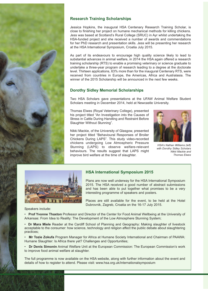

# **Research Training Scholarships**

Jessica Hopkins, the inaugural HSA Centenary Research Training Scholar, is close to finishing her project on humane mechanical methods for killing chickens. Jess was based at Scotland's Rural College (SRUC) in Ayr whilst undertaking the HSA-funded project and she received a number of awards and commendations for her PhD research and presentation skills. Jess will be presenting her research at the HSA International Symposium, Croatia July 2015.

As part of its endeavours to encourage high quality science likely to lead to substantial advances in animal welfare, in 2014 the HSA again offered a research training scholarship (RTS) to enable a promising veterinary or science graduate to undertake a three-year program of research leading to a degree at the doctorate level. Thirteen applications, 63% more than for the inaugural Centenary RTS, were received from countries in Europe, the Americas, Africa and Australasia. The winner of the 2015 Scholarship will be announced in the next few weeks.

# **Dorothy Sidley Memorial Scholarships**

Two HSA Scholars gave presentations at the UFAW Animal Welfare Student Scholars meeting in December 2014, held at Newcastle University.

Thomas Elwes (Royal Veterinary College), presented his project titled "An Investigation into the Causes of Stress in Cattle During Handling and Restraint Before Slaughter Without Stunning".

Nikki Mackie, of the University of Glasgow, presented her project titled "Behavioural Responses of Broiler Chickens During LAPS". This study video-recorded chickens undergoing Low Atmospheric Pressure Stunning (LAPS) to observe welfare-relevant behaviours. The results suggest that LAPS might improve bird welfare at the time of slaughter.



*HSA's Nathan Williams (left) with Dorothy Sidley Scholars Nikki Mackie and Thomas Elwes*



# **HSA International Symposium 2015**

Plans are now well underway for the HSA International Symposium 2015. The HSA received a good number of abstract submissions and has been able to put together what promises to be a very interesting programme of speakers and posters.

Places are still available for the event, to be held at the Hotel Dubrovnik, Zagreb, Croatia on the 16-17 July 2015.

Speakers include:

• **Prof Yvonne Thaxton** Professor and Director of the Center for Food Animal Wellbeing at the University of Arkansas: From Idea to Reality: The Development of the Low Atmosphere Stunning System;

• **Dr Mara Miele** Reader at the Cardiff School of Planning and Geography: Making slaughter of livestock acceptable to the consumer: how science, technology and religion affect the public debate about slaughtering practices;

• **Mr Tozie Zokufa** Program Manager for Africa at Humane Society International and Chairman of PAAWA: Humane Slaughter: Is Africa there yet? Challenges and Opportunities;

• **Dr Denis Simonin** Animal Welfare Unit at the European Commission: The European Commission's work to improve food animal welfare at slaughter.

The full programme is now available on the HSA website, along with further information about the event and details of how to register to attend. Please visit: www.hsa.org.uk/internationalsymposium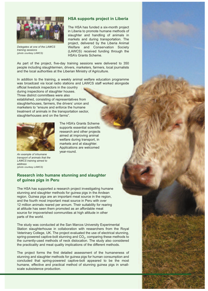

*Delegates at one of the LAWCS training sessions (photo courtesy LAWCS)*

#### **HSA supports project in Liberia**

The HSA has funded a six-month project in Liberia to promote humane methods of slaughter and handling of animals in markets and during transportation. The project, delivered by the Liberia Animal Welfare and Conservation Society (LAWCS) received funding through the HSA's Grants Scheme.

As part of the project, five-day training sessions were delivered to 350 people including slaughtermen, drivers, marketers, farmers, local journalists and the local authorities at the Liberian Ministry of Agriculture.

In addition to the training, a weekly animal welfare education programme was broadcast via local radio stations and LAWCS staff worked alongside

official livestock inspectors in the country during inspections of slaughter houses. Three district committees were also established, consisting of representatives from slaughterhouses, farmers, the drivers' union and

marketers to "ensure and enforce the humane treatment of animals in the transportation sector, slaughterhouses and on the farms".



The HSA's Grants Scheme supports essential scientific research and other projects aimed at improving animal welfare during transport, in markets and at slaughter. Applications are welcomed year-round.

*An example of inhumane transport of animals that the LAWCS training aimed to address (photo courtesy LAWCS)*

## **Research into humane stunning and slaughter of guinea pigs in Peru**

The HSA has supported a research project investigating humane stunning and slaughter methods for guinea pigs in the Andean region. Guinea pigs are an important meat source in the region, and the fourth most important meat source in Peru with over 12 million animals reared per annum. Their suitability for rearing at altitude has seen them promoted as an affordable meat source for impoverished communities at high altitude in other parts of the world.

The study was conducted at the San Marcos University Experimental Station slaughterhouse in collaboration with researchers from the Royal Veterinary College, UK. The project evaluated the use of electrical stunning, spring-powered captive-bolt stunning and  $CO<sub>2</sub>$ , comparing these methods to the currently-used methods of neck dislocation. The study also considered the practicality and meat quality implications of the different methods.

The project forms the first detailed assessment of the humaneness of stunning and slaughter methods for guinea pigs for human consumption and concluded that spring-powered captive-bolt appeared to be the most humane, effective and practical method of stunning guinea pigs in smallscale subsistence production.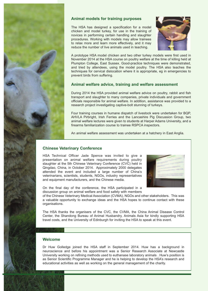

## **Animal models for training purposes**

The HSA has designed a specification for a model chicken and model turkey, for use in the training of novices in performing certain handling and slaughter procedures. Working with models may allow trainees to relax more and learn more effectively, and it may reduce the number of live animals used in teaching.



A prototype HSA model chicken and two other turkey models were first used in November 2014 at the HSA course on poultry welfare at the time of killing held at Plumpton College, East Sussex. Good-practice techniques were demonstrated, and tried by attendees, using the model poultry. The HSA also teaches the techniques for cervical dislocation where it is appropriate, eg in emergencies to prevent birds from suffering.

## **Animal welfare advice, training and welfare assessment**

During 2014 the HSA provided animal welfare advice on poultry, rabbit and fish transport and slaughter to many companies, private individuals and government officials responsible for animal welfare. In addition, assistance was provided to a research project investigating captive-bolt stunning of turkeys.

Four training courses in humane dispatch of livestock were undertaken for BQP, AHVLA Pirbright, Irish Ferries and the Lancashire Pig Discussion Group, two animal welfare lectures were given to students at Harper Adams University, and a firearms familiarization course to trainee RSPCA inspectors.

An animal welfare assessment was undertaken at a hatchery in East Anglia.

## **Chinese Veterinary Conference**

HSA Technical Officer Jade Spence was invited to give a presentation on animal welfare requirements during poultry slaughter at the 5th Chinese Veterinary Conference (CVC) held in Qingdao, China, in October 2014. Approximately 2000 delegates attended the event and included a large number of China's veterinarians, scientists, students, NGOs, industry representatives and equipment manufacturers, and the Chinese media.

On the final day of the conference, the HSA participated in a discussion group on animal welfare and food safety with members

of the Chinese Veterinary Medical Association (CVMA), NGOs and other stakeholders. This was a valuable opportunity to exchange ideas and the HSA hopes to continue contact with these organisations.

The HSA thanks the organisers of the CVC, the CVMA, the China Animal Disease Control Center, the Shandong Bureau of Animal Husbandry, Animals Asia for kindly supporting HSA travel costs, and the University of Edinburgh for inviting the HSA to speak at this event.

## **Welcome**

Dr Huw Golledge joined the HSA staff in September 2014. Huw has a background in neuroscience and before his appointment was a Senior Research Associate at Newcastle University working on refining methods used to euthanase laboratory animals . Huw's position is as Senior Scientific Programme Manager and he is helping to develop the HSA's research and educational activities as well as working on the general management of the charity.